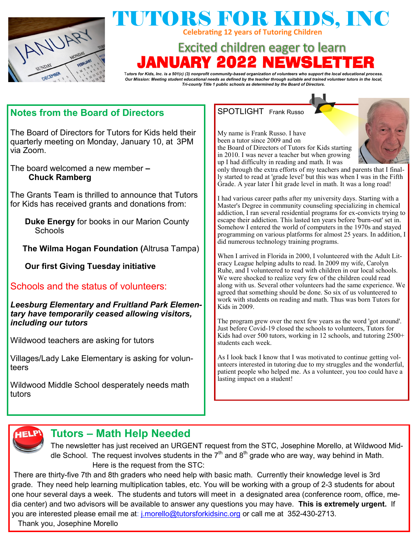

## TUTORS FOR KIDS, INC **Celebrating 12 years of Tutoring Children**

# **Excited children eager to learn** NUARY 2022 NEWSLE'

T*utors for Kids, Inc. is a 501(c) (3) nonprofit community-based organization of volunteers who support the local educational process. Our Mission: Meeting student educational needs as defined by the teacher through suitable and trained volunteer tutors in the local, Tri-county Title 1 public schools as determined by the Board of Directors.*

### **Notes from the Board of Directors**

The Board of Directors for Tutors for Kids held their quarterly meeting on Monday, January 10, at 3PM via Zoom.

The board welcomed a new member **– Chuck Ramberg**

The Grants Team is thrilled to announce that Tutors for Kids has received grants and donations from:

**Duke Energy** for books in our Marion County **Schools** 

**The Wilma Hogan Foundation (**Altrusa Tampa)

**Our first Giving Tuesday initiative**

Schools and the status of volunteers:

*Leesburg Elementary and Fruitland Park Elementary have temporarily ceased allowing visitors, including our tutors*

Wildwood teachers are asking for tutors

Villages/Lady Lake Elementary is asking for volunteers

Wildwood Middle School desperately needs math tutors

#### SPOTLIGHT Frank Russo

My name is Frank Russo. I have been a tutor since 2009 and on the Board of Directors of Tutors for Kids starting in 2010. I was never a teacher but when growing up I had difficulty in reading and math. It was



only through the extra efforts of my teachers and parents that I finally started to read at 'grade level' but this was when I was in the Fifth Grade. A year later I hit grade level in math. It was a long road!

I had various career paths after my university days. Starting with a Master's Degree in community counseling specializing in chemical addiction, I ran several residential programs for ex-convicts trying to escape their addiction. This lasted ten years before 'burn-out' set in. Somehow I entered the world of computers in the 1970s and stayed programming on various platforms for almost 25 years. In addition, I did numerous technology training programs.

When I arrived in Florida in 2000, I volunteered with the Adult Literacy League helping adults to read. In 2009 my wife, Carolyn Ruhe, and I volunteered to read with children in our local schools. We were shocked to realize very few of the children could read along with us. Several other volunteers had the same experience. We agreed that something should be done. So six of us volunteered to work with students on reading and math. Thus was born Tutors for Kids in 2009.

The program grew over the next few years as the word 'got around'. Just before Covid-19 closed the schools to volunteers, Tutors for Kids had over 500 tutors, working in 12 schools, and tutoring 2500+ students each week.

As I look back I know that I was motivated to continue getting volunteers interested in tutoring due to my struggles and the wonderful, patient people who helped me. As a volunteer, you too could have a lasting impact on a student!



### **Tutors – Math Help Needed**

The newsletter has just received an URGENT request from the STC, Josephine Morello, at Wildwood Middle School. The request involves students in the  $7<sup>th</sup>$  and  $8<sup>th</sup>$  grade who are way, way behind in Math. Here is the request from the STC:

There are thirty-five 7th and 8th graders who need help with basic math. Currently their knowledge level is 3rd grade. They need help learning multiplication tables, etc. You will be working with a group of 2-3 students for about one hour several days a week. The students and tutors will meet in a designated area (conference room, office, media center) and two advisors will be available to answer any questions you may have. **This is extremely urgent.** If you are interested please email me at: *[j.morello@tutorsforkidsinc.org](mailto:j.morello@tutorsforkidsinc.org)* or call me at 352-430-2713.

Thank you, Josephine Morello